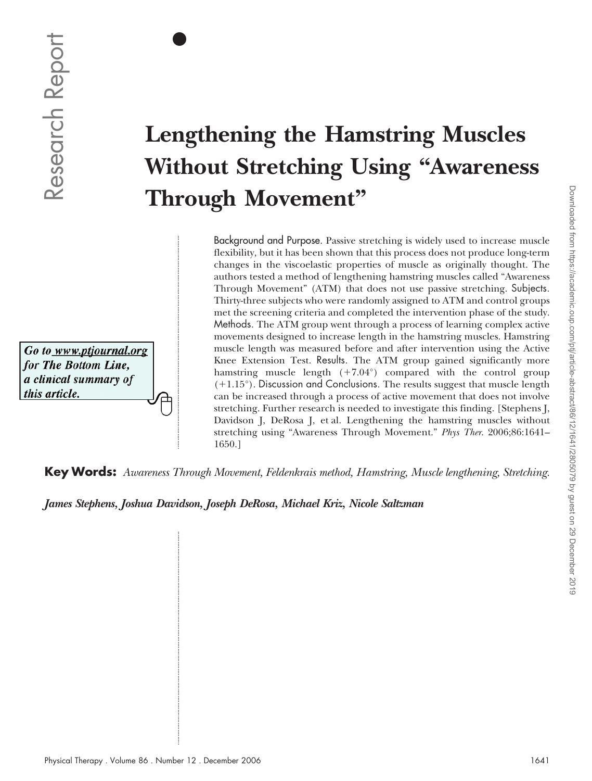$\bullet$ 

# **Lengthening the Hamstring Muscles Without Stretching Using "Awareness Through Movement"**

Background and Purpose. Passive stretching is widely used to increase muscle flexibility, but it has been shown that this process does not produce long-term changes in the viscoelastic properties of muscle as originally thought. The authors tested a method of lengthening hamstring muscles called "Awareness Through Movement" (ATM) that does not use passive stretching. Subjects. Thirty-three subjects who were randomly assigned to ATM and control groups met the screening criteria and completed the intervention phase of the study. Methods. The ATM group went through a process of learning complex active movements designed to increase length in the hamstring muscles. Hamstring muscle length was measured before and after intervention using the Active Knee Extension Test. Results. The ATM group gained significantly more hamstring muscle length (+7.04°) compared with the control group  $(+1.15^{\circ})$ . Discussion and Conclusions. The results suggest that muscle length can be increased through a process of active movement that does not involve stretching. Further research is needed to investigate this finding. [Stephens J, Davidson J, DeRosa J, et al. Lengthening the hamstring muscles without stretching using "Awareness Through Movement." *Phys Ther*. 2006;86:1641– 1650.] **Physical Therapy . Section 2008**<br>  $\overline{O}$ <br>  $\overline{O}$ <br>  $\overline{O}$ <br>  $\overline{O}$ <br>  $\overline{O}$ <br> **Physical Therapy Movement?**<br> **Physical Therapy . Now the settling is visible tort in increase the sum product however the Background an** 

**Key Words:** *Awareness Through Movement, Feldenkrais method, Hamstring, Muscle lengthening, Stretching.*

*James Stephens, Joshua Davidson, Joseph DeRosa, Michael Kriz, Nicole Saltzman*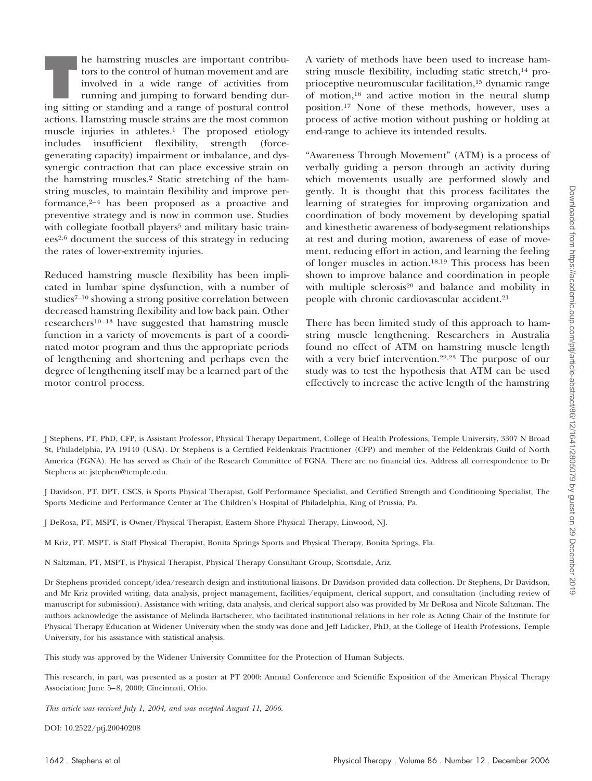**T** he hamstring muscles are important contributors to the control of human movement and are involved in a wide range of activities from running and jumping to forward bending during sitting or standing and a range of postural control actions. Hamstring muscle strains are the most common muscle injuries in athletes.<sup>1</sup> The proposed etiology includes insufficient flexibility, strength (forcegenerating capacity) impairment or imbalance, and dyssynergic contraction that can place excessive strain on the hamstring muscles.2 Static stretching of the hamstring muscles, to maintain flexibility and improve performance, $2-4$  has been proposed as a proactive and preventive strategy and is now in common use. Studies with collegiate football players<sup>5</sup> and military basic trainees2,6 document the success of this strategy in reducing the rates of lower-extremity injuries.

Reduced hamstring muscle flexibility has been implicated in lumbar spine dysfunction, with a number of studies<sup>7-10</sup> showing a strong positive correlation between decreased hamstring flexibility and low back pain. Other researchers<sup>10-13</sup> have suggested that hamstring muscle function in a variety of movements is part of a coordinated motor program and thus the appropriate periods of lengthening and shortening and perhaps even the degree of lengthening itself may be a learned part of the motor control process.

A variety of methods have been used to increase hamstring muscle flexibility, including static stretch,<sup>14</sup> proprioceptive neuromuscular facilitation,15 dynamic range of motion,16 and active motion in the neural slump position.17 None of these methods, however, uses a process of active motion without pushing or holding at end-range to achieve its intended results.

"Awareness Through Movement" (ATM) is a process of verbally guiding a person through an activity during which movements usually are performed slowly and gently. It is thought that this process facilitates the learning of strategies for improving organization and coordination of body movement by developing spatial and kinesthetic awareness of body-segment relationships at rest and during motion, awareness of ease of movement, reducing effort in action, and learning the feeling of longer muscles in action.18,19 This process has been shown to improve balance and coordination in people with multiple sclerosis<sup>20</sup> and balance and mobility in people with chronic cardiovascular accident.21

There has been limited study of this approach to hamstring muscle lengthening. Researchers in Australia found no effect of ATM on hamstring muscle length with a very brief intervention.<sup>22,23</sup> The purpose of our study was to test the hypothesis that ATM can be used effectively to increase the active length of the hamstring

J Stephens, PT, PhD, CFP, is Assistant Professor, Physical Therapy Department, College of Health Professions, Temple University, 3307 N Broad St, Philadelphia, PA 19140 (USA). Dr Stephens is a Certified Feldenkrais Practitioner (CFP) and member of the Feldenkrais Guild of North America (FGNA). He has served as Chair of the Research Committee of FGNA. There are no financial ties. Address all correspondence to Dr Stephens at: jstephen@temple.edu.

J Davidson, PT, DPT, CSCS, is Sports Physical Therapist, Golf Performance Specialist, and Certified Strength and Conditioning Specialist, The Sports Medicine and Performance Center at The Children's Hospital of Philadelphia, King of Prussia, Pa.

J DeRosa, PT, MSPT, is Owner/Physical Therapist, Eastern Shore Physical Therapy, Linwood, NJ.

M Kriz, PT, MSPT, is Staff Physical Therapist, Bonita Springs Sports and Physical Therapy, Bonita Springs, Fla.

N Saltzman, PT, MSPT, is Physical Therapist, Physical Therapy Consultant Group, Scottsdale, Ariz.

Dr Stephens provided concept/idea/research design and institutional liaisons. Dr Davidson provided data collection. Dr Stephens, Dr Davidson, and Mr Kriz provided writing, data analysis, project management, facilities/equipment, clerical support, and consultation (including review of manuscript for submission). Assistance with writing, data analysis, and clerical support also was provided by Mr DeRosa and Nicole Saltzman. The authors acknowledge the assistance of Melinda Bartscherer, who facilitated institutional relations in her role as Acting Chair of the Institute for Physical Therapy Education at Widener University when the study was done and Jeff Lidicker, PhD, at the College of Health Professions, Temple University, for his assistance with statistical analysis.

This study was approved by the Widener University Committee for the Protection of Human Subjects.

This research, in part, was presented as a poster at PT 2000: Annual Conference and Scientific Exposition of the American Physical Therapy Association; June 5–8, 2000; Cincinnati, Ohio.

*This article was received July 1, 2004, and was accepted August 11, 2006*.

DOI: 10.2522/ptj.20040208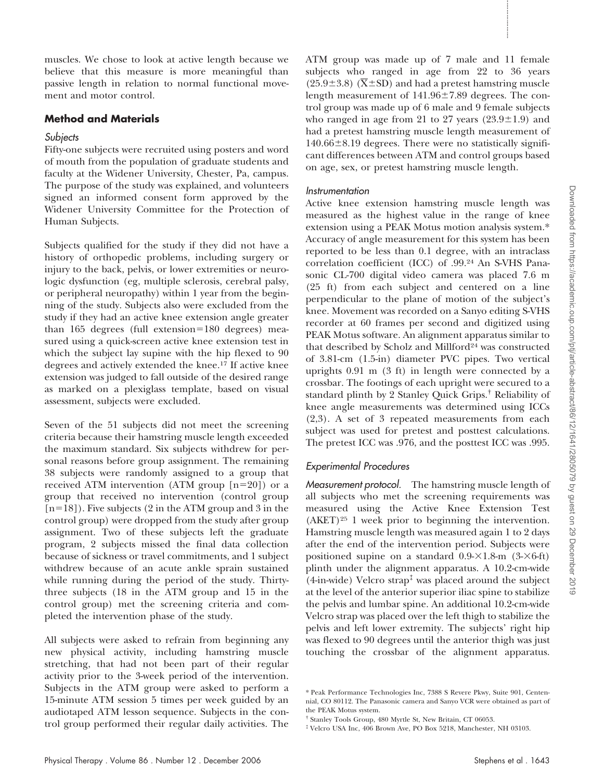muscles. We chose to look at active length because we believe that this measure is more meaningful than passive length in relation to normal functional movement and motor control.

# **Method and Materials**

# **Subjects**

Fifty-one subjects were recruited using posters and word of mouth from the population of graduate students and faculty at the Widener University, Chester, Pa, campus. The purpose of the study was explained, and volunteers signed an informed consent form approved by the Widener University Committee for the Protection of Human Subjects.

Subjects qualified for the study if they did not have a history of orthopedic problems, including surgery or injury to the back, pelvis, or lower extremities or neurologic dysfunction (eg, multiple sclerosis, cerebral palsy, or peripheral neuropathy) within 1 year from the beginning of the study. Subjects also were excluded from the study if they had an active knee extension angle greater than  $165$  degrees (full extension= $180$  degrees) measured using a quick-screen active knee extension test in which the subject lay supine with the hip flexed to 90 degrees and actively extended the knee.17 If active knee extension was judged to fall outside of the desired range as marked on a plexiglass template, based on visual assessment, subjects were excluded.

Seven of the 51 subjects did not meet the screening criteria because their hamstring muscle length exceeded the maximum standard. Six subjects withdrew for personal reasons before group assignment. The remaining 38 subjects were randomly assigned to a group that received ATM intervention (ATM group  $[n=20]$ ) or a group that received no intervention (control group  $[n=18]$ ). Five subjects (2 in the ATM group and 3 in the control group) were dropped from the study after group assignment. Two of these subjects left the graduate program, 2 subjects missed the final data collection because of sickness or travel commitments, and 1 subject withdrew because of an acute ankle sprain sustained while running during the period of the study. Thirtythree subjects (18 in the ATM group and 15 in the control group) met the screening criteria and completed the intervention phase of the study.

All subjects were asked to refrain from beginning any new physical activity, including hamstring muscle stretching, that had not been part of their regular activity prior to the 3-week period of the intervention. Subjects in the ATM group were asked to perform a 15-minute ATM session 5 times per week guided by an audiotaped ATM lesson sequence. Subjects in the control group performed their regular daily activities. The ATM group was made up of 7 male and 11 female subjects who ranged in age from 22 to 36 years (25.9 $\pm$ 3.8) ( $\overline{X}$ ±SD) and had a pretest hamstring muscle length measurement of  $141.96\pm7.89$  degrees. The control group was made up of 6 male and 9 female subjects who ranged in age from 21 to 27 years  $(23.9 \pm 1.9)$  and had a pretest hamstring muscle length measurement of  $140.66 \pm 8.19$  degrees. There were no statistically significant differences between ATM and control groups based on age, sex, or pretest hamstring muscle length.

## **Instrumentation**

Active knee extension hamstring muscle length was measured as the highest value in the range of knee extension using a PEAK Motus motion analysis system.\* Accuracy of angle measurement for this system has been reported to be less than 0.1 degree, with an intraclass correlation coefficient (ICC) of .99.24 An S-VHS Panasonic CL-700 digital video camera was placed 7.6 m (25 ft) from each subject and centered on a line perpendicular to the plane of motion of the subject's knee. Movement was recorded on a Sanyo editing S-VHS recorder at 60 frames per second and digitized using PEAK Motus software. An alignment apparatus similar to that described by Scholz and Millford<sup>24</sup> was constructed of 3.81-cm (1.5-in) diameter PVC pipes. Two vertical uprights 0.91 m (3 ft) in length were connected by a crossbar. The footings of each upright were secured to a standard plinth by 2 Stanley Quick Grips.† Reliability of knee angle measurements was determined using ICCs (2,3). A set of 3 repeated measurements from each subject was used for pretest and posttest calculations. The pretest ICC was .976, and the posttest ICC was .995. massles. We chose to look in active length because we ATM group was made up of 7 mini- and 1 females the space of the mass in the mass in the space of the mass in the space of the mass in the space of the mass in the spac

# Experimental Procedures

Measurement protocol. The hamstring muscle length of all subjects who met the screening requirements was measured using the Active Knee Extension Test (AKET)25 1 week prior to beginning the intervention. Hamstring muscle length was measured again 1 to 2 days after the end of the intervention period. Subjects were positioned supine on a standard  $0.9 - \times 1.8$ -m  $(3 - \times 6$ -ft) plinth under the alignment apparatus. A 10.2-cm-wide  $(4\text{-}in\text{-}wide)$  Velcro strap<sup> $\ddagger$ </sup> was placed around the subject at the level of the anterior superior iliac spine to stabilize the pelvis and lumbar spine. An additional 10.2-cm-wide Velcro strap was placed over the left thigh to stabilize the pelvis and left lower extremity. The subjects' right hip was flexed to 90 degrees until the anterior thigh was just touching the crossbar of the alignment apparatus.

<sup>\*</sup> Peak Performance Technologies Inc, 7388 S Revere Pkwy, Suite 901, Centennial, CO 80112. The Panasonic camera and Sanyo VCR were obtained as part of the PEAK Motus system.

<sup>†</sup> Stanley Tools Group, 480 Myrtle St, New Britain, CT 06053.

<sup>‡</sup> Velcro USA Inc, 406 Brown Ave, PO Box 5218, Manchester, NH 03103.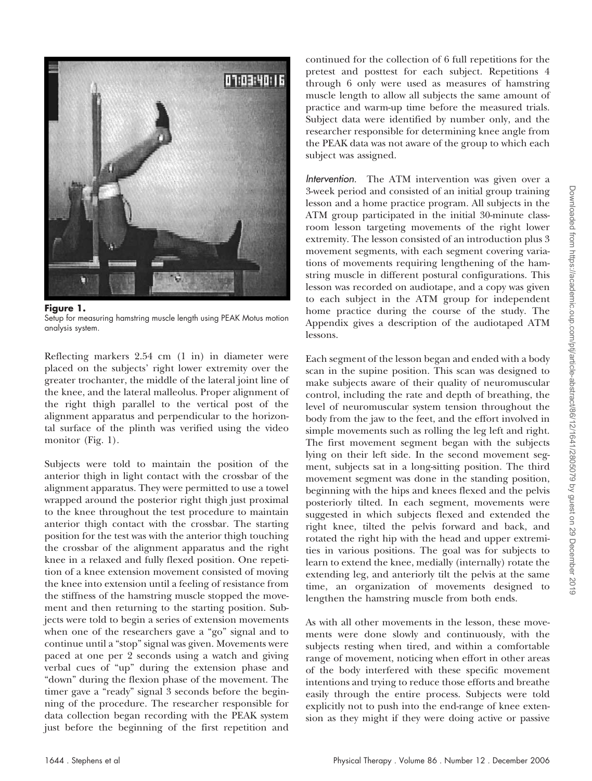

**Figure 1.** Setup for measuring hamstring muscle length using PEAK Motus motion analysis system.

Reflecting markers 2.54 cm (1 in) in diameter were placed on the subjects' right lower extremity over the greater trochanter, the middle of the lateral joint line of the knee, and the lateral malleolus. Proper alignment of the right thigh parallel to the vertical post of the alignment apparatus and perpendicular to the horizontal surface of the plinth was verified using the video monitor (Fig. 1).

Subjects were told to maintain the position of the anterior thigh in light contact with the crossbar of the alignment apparatus. They were permitted to use a towel wrapped around the posterior right thigh just proximal to the knee throughout the test procedure to maintain anterior thigh contact with the crossbar. The starting position for the test was with the anterior thigh touching the crossbar of the alignment apparatus and the right knee in a relaxed and fully flexed position. One repetition of a knee extension movement consisted of moving the knee into extension until a feeling of resistance from the stiffness of the hamstring muscle stopped the movement and then returning to the starting position. Subjects were told to begin a series of extension movements when one of the researchers gave a "go" signal and to continue until a "stop" signal was given. Movements were paced at one per 2 seconds using a watch and giving verbal cues of "up" during the extension phase and "down" during the flexion phase of the movement. The timer gave a "ready" signal 3 seconds before the beginning of the procedure. The researcher responsible for data collection began recording with the PEAK system just before the beginning of the first repetition and continued for the collection of 6 full repetitions for the pretest and posttest for each subject. Repetitions 4 through 6 only were used as measures of hamstring muscle length to allow all subjects the same amount of practice and warm-up time before the measured trials. Subject data were identified by number only, and the researcher responsible for determining knee angle from the PEAK data was not aware of the group to which each subject was assigned.

Intervention. The ATM intervention was given over a 3-week period and consisted of an initial group training lesson and a home practice program. All subjects in the ATM group participated in the initial 30-minute classroom lesson targeting movements of the right lower extremity. The lesson consisted of an introduction plus 3 movement segments, with each segment covering variations of movements requiring lengthening of the hamstring muscle in different postural configurations. This lesson was recorded on audiotape, and a copy was given to each subject in the ATM group for independent home practice during the course of the study. The Appendix gives a description of the audiotaped ATM lessons.

Each segment of the lesson began and ended with a body scan in the supine position. This scan was designed to make subjects aware of their quality of neuromuscular control, including the rate and depth of breathing, the level of neuromuscular system tension throughout the body from the jaw to the feet, and the effort involved in simple movements such as rolling the leg left and right. The first movement segment began with the subjects lying on their left side. In the second movement segment, subjects sat in a long-sitting position. The third movement segment was done in the standing position, beginning with the hips and knees flexed and the pelvis posteriorly tilted. In each segment, movements were suggested in which subjects flexed and extended the right knee, tilted the pelvis forward and back, and rotated the right hip with the head and upper extremities in various positions. The goal was for subjects to learn to extend the knee, medially (internally) rotate the extending leg, and anteriorly tilt the pelvis at the same time, an organization of movements designed to lengthen the hamstring muscle from both ends.

As with all other movements in the lesson, these movements were done slowly and continuously, with the subjects resting when tired, and within a comfortable range of movement, noticing when effort in other areas of the body interfered with these specific movement intentions and trying to reduce those efforts and breathe easily through the entire process. Subjects were told explicitly not to push into the end-range of knee extension as they might if they were doing active or passive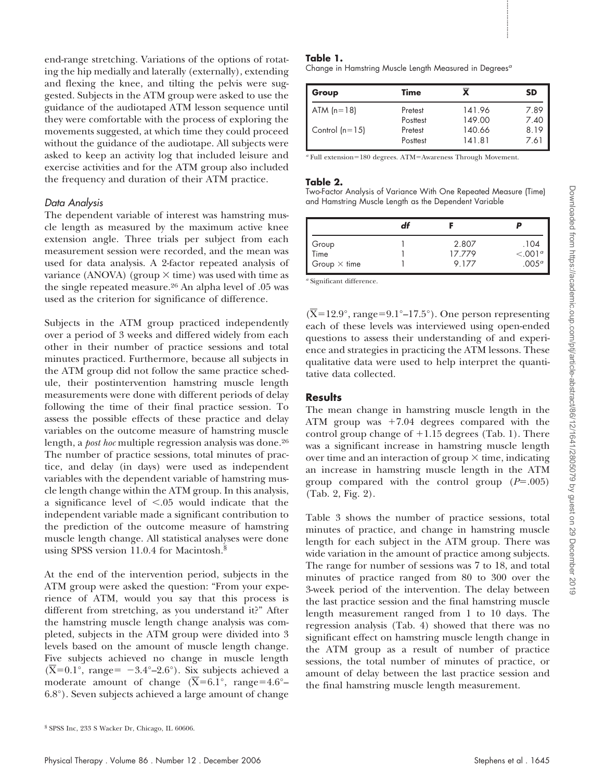end-range stretching. Variations of the options of rotating the hip medially and laterally (externally), extending and flexing the knee, and tilting the pelvis were suggested. Subjects in the ATM group were asked to use the guidance of the audiotaped ATM lesson sequence until they were comfortable with the process of exploring the movements suggested, at which time they could proceed without the guidance of the audiotape. All subjects were asked to keep an activity log that included leisure and exercise activities and for the ATM group also included the frequency and duration of their ATM practice.

## Data Analysis

The dependent variable of interest was hamstring muscle length as measured by the maximum active knee extension angle. Three trials per subject from each measurement session were recorded, and the mean was used for data analysis. A 2-factor repeated analysis of variance (ANOVA) (group  $\times$  time) was used with time as the single repeated measure.26 An alpha level of .05 was used as the criterion for significance of difference.

Subjects in the ATM group practiced independently over a period of 3 weeks and differed widely from each other in their number of practice sessions and total minutes practiced. Furthermore, because all subjects in the ATM group did not follow the same practice schedule, their postintervention hamstring muscle length measurements were done with different periods of delay following the time of their final practice session. To assess the possible effects of these practice and delay variables on the outcome measure of hamstring muscle length, a *post hoc* multiple regression analysis was done.26 The number of practice sessions, total minutes of practice, and delay (in days) were used as independent variables with the dependent variable of hamstring muscle length change within the ATM group. In this analysis, a significance level of  $\leq 0.05$  would indicate that the independent variable made a significant contribution to the prediction of the outcome measure of hamstring muscle length change. All statistical analyses were done using SPSS version 11.0.4 for Macintosh.§ end cauge streedabilg. Volume<br>time of the options of the options of the options of the series of the series option of the<br>property depends on the series operation of the series operation of the<br>series of the analysis of t

At the end of the intervention period, subjects in the ATM group were asked the question: "From your experience of ATM, would you say that this process is different from stretching, as you understand it?" After the hamstring muscle length change analysis was completed, subjects in the ATM group were divided into 3 levels based on the amount of muscle length change. Five subjects achieved no change in muscle length  $(\overline{X}=0.1^{\circ})$ , range = -3.4°–2.6°). Six subjects achieved a moderate amount of change  $(\overline{X}=6.1^{\circ})$ , range=4.6°– 6.8°). Seven subjects achieved a large amount of change

#### § SPSS Inc, 233 S Wacker Dr, Chicago, IL 60606.

#### **Table 1.**

Change in Hamstring Muscle Length Measured in Degrees $\sigma$ 

| Group            | <b>Time</b> | x      | SD   |  |
|------------------|-------------|--------|------|--|
| $ATM(n=18)$      | Pretest     | 141.96 | 7.89 |  |
|                  | Posttest    | 149.00 | 7.40 |  |
| Control $(n=15)$ | Pretest     | 140.66 | 8.19 |  |
|                  | Posttest    | 141.81 | 7.61 |  |

<sup>*a*</sup> Full extension=180 degrees. ATM=Awareness Through Movement.

#### **Table 2.**

Two-Factor Analysis of Variance With One Repeated Measure (Time) and Hamstring Muscle Length as the Dependent Variable

|                     | 2.807  | .104                |
|---------------------|--------|---------------------|
| Group<br>Time       | 17.779 | < .001 <sup>a</sup> |
| Group $\times$ time | 9.177  | .005 <sup>a</sup>   |

*<sup>a</sup>* Significant difference.

 $(\overline{X}=12.9^{\circ}, \text{range}=9.1^{\circ}-17.5^{\circ})$ . One person representing each of these levels was interviewed using open-ended questions to assess their understanding of and experience and strategies in practicing the ATM lessons. These qualitative data were used to help interpret the quantitative data collected.

#### **Results**

The mean change in hamstring muscle length in the ATM group was  $+7.04$  degrees compared with the control group change of  $+1.15$  degrees (Tab. 1). There was a significant increase in hamstring muscle length over time and an interaction of group  $\times$  time, indicating an increase in hamstring muscle length in the ATM group compared with the control group  $(P=.005)$ (Tab. 2, Fig. 2).

Table 3 shows the number of practice sessions, total minutes of practice, and change in hamstring muscle length for each subject in the ATM group. There was wide variation in the amount of practice among subjects. The range for number of sessions was 7 to 18, and total minutes of practice ranged from 80 to 300 over the 3-week period of the intervention. The delay between the last practice session and the final hamstring muscle length measurement ranged from 1 to 10 days. The regression analysis (Tab. 4) showed that there was no significant effect on hamstring muscle length change in the ATM group as a result of number of practice sessions, the total number of minutes of practice, or amount of delay between the last practice session and the final hamstring muscle length measurement.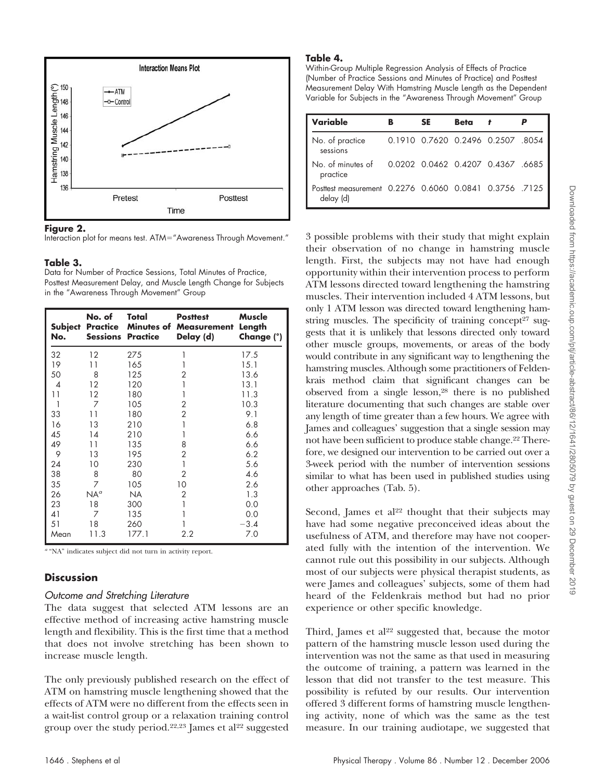

## **Figure 2.**



## **Table 3.**

Data for Number of Practice Sessions, Total Minutes of Practice, Posttest Measurement Delay, and Muscle Length Change for Subjects in the "Awareness Through Movement" Group

| No.  | No. of<br><b>Subject Practice</b><br><b>Sessions Practice</b> | Total     | <b>Posttest</b><br><b>Minutes of Measurement</b><br>Delay (d) | Muscle<br>Length<br>Change (°) |
|------|---------------------------------------------------------------|-----------|---------------------------------------------------------------|--------------------------------|
| 32   | 12                                                            | 275       |                                                               | 17.5                           |
| 19   | 11                                                            | 165       |                                                               | 15.1                           |
| 50   | 8                                                             | 125       | 2                                                             | 13.6                           |
| 4    | 12                                                            | 120       |                                                               | 13.1                           |
| 11   | 12                                                            | 180       |                                                               | 11.3                           |
| 1    | 7                                                             | 105       | 2                                                             | 10.3                           |
| 33   | 11                                                            | 180       | $\overline{2}$                                                | 9.1                            |
| 16   | 13                                                            | 210       | 1                                                             | 6.8                            |
| 45   | 14                                                            | 210       |                                                               | 6.6                            |
| 49   | 11                                                            | 135       | 8                                                             | 6.6                            |
| 9    | 13                                                            | 195       | 2                                                             | 6.2                            |
| 24   | 10                                                            | 230       | 1                                                             | 5.6                            |
| 38   | 8                                                             | 80        | 2                                                             | 4.6                            |
| 35   | 7                                                             | 105       | 10                                                            | 2.6                            |
| 26   | $NA^{\sigma}$                                                 | <b>NA</b> | 2                                                             | 1.3                            |
| 23   | 18                                                            | 300       |                                                               | 0.0                            |
| 41   | 7                                                             | 135       |                                                               | 0.0                            |
| 51   | 18                                                            | 260       |                                                               | $-3.4$                         |
| Mean | 11.3                                                          | 177.1     | 2.2                                                           | 7.0                            |

*<sup>a</sup>* "NA" indicates subject did not turn in activity report.

# **Discussion**

## Outcome and Stretching Literature

The data suggest that selected ATM lessons are an effective method of increasing active hamstring muscle length and flexibility. This is the first time that a method that does not involve stretching has been shown to increase muscle length.

The only previously published research on the effect of ATM on hamstring muscle lengthening showed that the effects of ATM were no different from the effects seen in a wait-list control group or a relaxation training control group over the study period.22,23 James et al22 suggested

## **Table 4.**

Within-Group Multiple Regression Analysis of Effects of Practice (Number of Practice Sessions and Minutes of Practice) and Posttest Measurement Delay With Hamstring Muscle Length as the Dependent Variable for Subjects in the "Awareness Through Movement" Group

| Variable                                                           | в | SE | Beta | t                                |  |
|--------------------------------------------------------------------|---|----|------|----------------------------------|--|
| No. of practice<br>sessions                                        |   |    |      | 0.1910 0.7620 0.2496 0.2507 8054 |  |
| No. of minutes of<br>practice                                      |   |    |      | 0.0202 0.0462 0.4207 0.4367 6685 |  |
| Posttest measurement 0.2276 0.6060 0.0841 0.3756 7125<br>delay (d) |   |    |      |                                  |  |

3 possible problems with their study that might explain their observation of no change in hamstring muscle length. First, the subjects may not have had enough opportunity within their intervention process to perform ATM lessons directed toward lengthening the hamstring muscles. Their intervention included 4 ATM lessons, but only 1 ATM lesson was directed toward lengthening hamstring muscles. The specificity of training concept<sup>27</sup> suggests that it is unlikely that lessons directed only toward other muscle groups, movements, or areas of the body would contribute in any significant way to lengthening the hamstring muscles. Although some practitioners of Feldenkrais method claim that significant changes can be observed from a single lesson,28 there is no published literature documenting that such changes are stable over any length of time greater than a few hours. We agree with James and colleagues' suggestion that a single session may not have been sufficient to produce stable change.22 Therefore, we designed our intervention to be carried out over a 3-week period with the number of intervention sessions similar to what has been used in published studies using other approaches (Tab. 5).

Second, James et al<sup>22</sup> thought that their subjects may have had some negative preconceived ideas about the usefulness of ATM, and therefore may have not cooperated fully with the intention of the intervention. We cannot rule out this possibility in our subjects. Although most of our subjects were physical therapist students, as were James and colleagues' subjects, some of them had heard of the Feldenkrais method but had no prior experience or other specific knowledge.

Third, James et  $al<sup>22</sup>$  suggested that, because the motor pattern of the hamstring muscle lesson used during the intervention was not the same as that used in measuring the outcome of training, a pattern was learned in the lesson that did not transfer to the test measure. This possibility is refuted by our results. Our intervention offered 3 different forms of hamstring muscle lengthening activity, none of which was the same as the test measure. In our training audiotape, we suggested that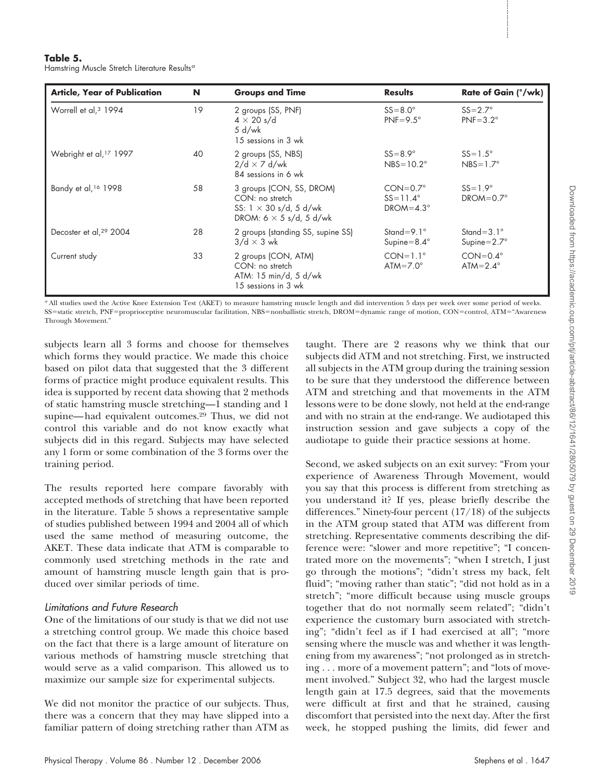## **Table 5.**

| <b>Article, Year of Publication</b>                                                                                                                                                                                                                                                                                                                                                                                                                                                                                                                                                                                                                                                                                                                                                                                                                                                                                                                                                                                                                                                                                                                 | N  | <b>Groups and Time</b>                                                                                         |  | <b>Results</b>                                               | Rate of Gain (°/wk)                                                                                                                                                                                                                                                                                                                                                                                                                                                                                                                                                                                                                                                                                                                                                                                                                                                                                                                                                                                                                                                                                                                                                                                                                                                                                                                                                       |
|-----------------------------------------------------------------------------------------------------------------------------------------------------------------------------------------------------------------------------------------------------------------------------------------------------------------------------------------------------------------------------------------------------------------------------------------------------------------------------------------------------------------------------------------------------------------------------------------------------------------------------------------------------------------------------------------------------------------------------------------------------------------------------------------------------------------------------------------------------------------------------------------------------------------------------------------------------------------------------------------------------------------------------------------------------------------------------------------------------------------------------------------------------|----|----------------------------------------------------------------------------------------------------------------|--|--------------------------------------------------------------|---------------------------------------------------------------------------------------------------------------------------------------------------------------------------------------------------------------------------------------------------------------------------------------------------------------------------------------------------------------------------------------------------------------------------------------------------------------------------------------------------------------------------------------------------------------------------------------------------------------------------------------------------------------------------------------------------------------------------------------------------------------------------------------------------------------------------------------------------------------------------------------------------------------------------------------------------------------------------------------------------------------------------------------------------------------------------------------------------------------------------------------------------------------------------------------------------------------------------------------------------------------------------------------------------------------------------------------------------------------------------|
| Worrell et al, 3 1994                                                                                                                                                                                                                                                                                                                                                                                                                                                                                                                                                                                                                                                                                                                                                                                                                                                                                                                                                                                                                                                                                                                               | 19 | 2 groups (SS, PNF)<br>$4 \times 20$ s/d<br>5 d/wk<br>15 sessions in 3 wk                                       |  | $SS = 8.0^\circ$<br>$PNF = 9.5^{\circ}$                      | $SS = 2.7^\circ$<br>$PNF = 3.2^\circ$                                                                                                                                                                                                                                                                                                                                                                                                                                                                                                                                                                                                                                                                                                                                                                                                                                                                                                                                                                                                                                                                                                                                                                                                                                                                                                                                     |
| Webright et al, 17 1997                                                                                                                                                                                                                                                                                                                                                                                                                                                                                                                                                                                                                                                                                                                                                                                                                                                                                                                                                                                                                                                                                                                             | 40 | 2 groups (SS, NBS)<br>$2/d \times 7$ d/wk<br>84 sessions in 6 wk                                               |  | $SS=8.9^\circ$<br>$NBS = 10.2^\circ$                         | $SS = 1.5^\circ$<br>$NBS = 1.7^\circ$                                                                                                                                                                                                                                                                                                                                                                                                                                                                                                                                                                                                                                                                                                                                                                                                                                                                                                                                                                                                                                                                                                                                                                                                                                                                                                                                     |
| Bandy et al, <sup>16</sup> 1998                                                                                                                                                                                                                                                                                                                                                                                                                                                                                                                                                                                                                                                                                                                                                                                                                                                                                                                                                                                                                                                                                                                     | 58 | 3 groups (CON, SS, DROM)<br>CON: no stretch<br>SS: $1 \times 30$ s/d, 5 d/wk<br>DROM: $6 \times 5$ s/d, 5 d/wk |  | $CON=0.7^\circ$<br>$SS = 11.4^{\circ}$<br>$DROM=4.3^{\circ}$ | $SS=1.9^\circ$<br>$DROM = 0.7^\circ$                                                                                                                                                                                                                                                                                                                                                                                                                                                                                                                                                                                                                                                                                                                                                                                                                                                                                                                                                                                                                                                                                                                                                                                                                                                                                                                                      |
| Decoster et al, <sup>29</sup> 2004                                                                                                                                                                                                                                                                                                                                                                                                                                                                                                                                                                                                                                                                                                                                                                                                                                                                                                                                                                                                                                                                                                                  | 28 | 2 groups (standing SS, supine SS)<br>$3/d \times 3$ wk                                                         |  | Stand=9.1 $^{\circ}$<br>Supine= $8.4^\circ$                  | Stand= $3.1^\circ$<br>Supine= $2.7^\circ$                                                                                                                                                                                                                                                                                                                                                                                                                                                                                                                                                                                                                                                                                                                                                                                                                                                                                                                                                                                                                                                                                                                                                                                                                                                                                                                                 |
| Current study                                                                                                                                                                                                                                                                                                                                                                                                                                                                                                                                                                                                                                                                                                                                                                                                                                                                                                                                                                                                                                                                                                                                       | 33 | 2 groups (CON, ATM)<br>CON: no stretch<br>ATM: 15 min/d, 5 d/wk<br>15 sessions in 3 wk                         |  | $CON=1.1^{\circ}$<br>$ATM = 7.0^\circ$                       | $CON=0.4^{\circ}$<br>ATM= $2.4^\circ$                                                                                                                                                                                                                                                                                                                                                                                                                                                                                                                                                                                                                                                                                                                                                                                                                                                                                                                                                                                                                                                                                                                                                                                                                                                                                                                                     |
| control this variable and do not know exactly what<br>subjects did in this regard. Subjects may have selected<br>any 1 form or some combination of the 3 forms over the<br>training period.<br>The results reported here compare favorably with<br>accepted methods of stretching that have been reported<br>in the literature. Table 5 shows a representative sample<br>of studies published between 1994 and 2004 all of which<br>used the same method of measuring outcome, the<br>AKET. These data indicate that ATM is comparable to<br>commonly used stretching methods in the rate and<br>amount of hamstring muscle length gain that is pro-<br>duced over similar periods of time.<br>Limitations and Future Research<br>One of the limitations of our study is that we did not use<br>a stretching control group. We made this choice based<br>on the fact that there is a large amount of literature on<br>various methods of hamstring muscle stretching that<br>would serve as a valid comparison. This allowed us to<br>maximize our sample size for experimental subjects.<br>We did not monitor the practice of our subjects. Thus, |    |                                                                                                                |  |                                                              | instruction session and gave subjects a copy of the<br>audiotape to guide their practice sessions at home.<br>Second, we asked subjects on an exit survey: "From your<br>experience of Awareness Through Movement, would<br>you say that this process is different from stretching as<br>you understand it? If yes, please briefly describe the<br>differences." Ninety-four percent $(17/18)$ of the subjects<br>in the ATM group stated that ATM was different from<br>stretching. Representative comments describing the dif-<br>ference were: "slower and more repetitive"; "I concen-<br>trated more on the movements"; "when I stretch, I just<br>go through the motions"; "didn't stress my back, felt<br>fluid"; "moving rather than static"; "did not hold as in a<br>stretch"; "more difficult because using muscle groups<br>together that do not normally seem related"; "didn't<br>experience the customary burn associated with stretch-<br>ing"; "didn't feel as if I had exercised at all"; "more<br>sensing where the muscle was and whether it was length-<br>ening from my awareness"; "not prolonged as in stretch-<br>ing more of a movement pattern"; and "lots of move-<br>ment involved." Subject 32, who had the largest muscle<br>length gain at 17.5 degrees, said that the movements<br>were difficult at first and that he strained, causing |
| there was a concern that they may have slipped into a<br>familiar pattern of doing stretching rather than ATM as                                                                                                                                                                                                                                                                                                                                                                                                                                                                                                                                                                                                                                                                                                                                                                                                                                                                                                                                                                                                                                    |    |                                                                                                                |  |                                                              | discomfort that persisted into the next day. After the first<br>week, he stopped pushing the limits, did fewer and                                                                                                                                                                                                                                                                                                                                                                                                                                                                                                                                                                                                                                                                                                                                                                                                                                                                                                                                                                                                                                                                                                                                                                                                                                                        |
|                                                                                                                                                                                                                                                                                                                                                                                                                                                                                                                                                                                                                                                                                                                                                                                                                                                                                                                                                                                                                                                                                                                                                     |    |                                                                                                                |  |                                                              |                                                                                                                                                                                                                                                                                                                                                                                                                                                                                                                                                                                                                                                                                                                                                                                                                                                                                                                                                                                                                                                                                                                                                                                                                                                                                                                                                                           |

# Limitations and Future Research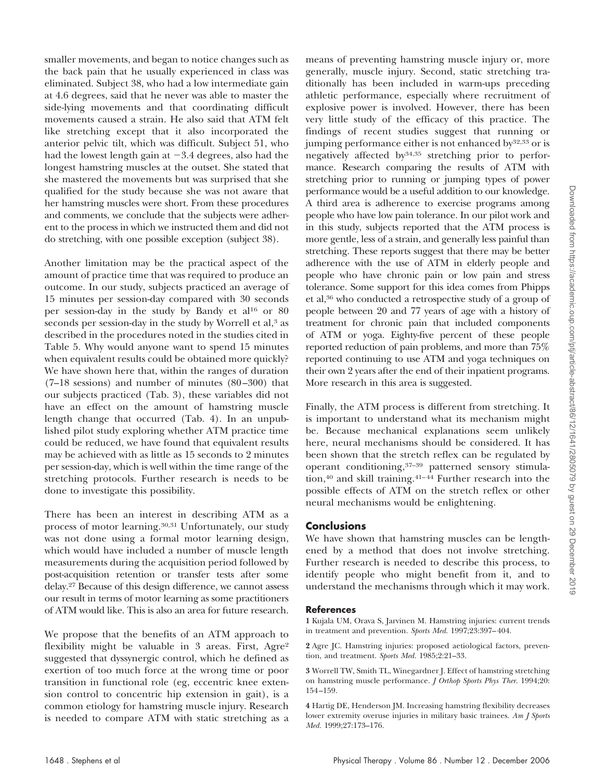smaller movements, and began to notice changes such as the back pain that he usually experienced in class was eliminated. Subject 38, who had a low intermediate gain at 4.6 degrees, said that he never was able to master the side-lying movements and that coordinating difficult movements caused a strain. He also said that ATM felt like stretching except that it also incorporated the anterior pelvic tilt, which was difficult. Subject 51, who had the lowest length gain at  $-3.4$  degrees, also had the longest hamstring muscles at the outset. She stated that she mastered the movements but was surprised that she qualified for the study because she was not aware that her hamstring muscles were short. From these procedures and comments, we conclude that the subjects were adherent to the process in which we instructed them and did not do stretching, with one possible exception (subject 38).

Another limitation may be the practical aspect of the amount of practice time that was required to produce an outcome. In our study, subjects practiced an average of 15 minutes per session-day compared with 30 seconds per session-day in the study by Bandy et al16 or 80 seconds per session-day in the study by Worrell et al,<sup>3</sup> as described in the procedures noted in the studies cited in Table 5. Why would anyone want to spend 15 minutes when equivalent results could be obtained more quickly? We have shown here that, within the ranges of duration  $(7-18$  sessions) and number of minutes  $(80-300)$  that our subjects practiced (Tab. 3), these variables did not have an effect on the amount of hamstring muscle length change that occurred (Tab. 4). In an unpublished pilot study exploring whether ATM practice time could be reduced, we have found that equivalent results may be achieved with as little as 15 seconds to 2 minutes per session-day, which is well within the time range of the stretching protocols. Further research is needs to be done to investigate this possibility.

There has been an interest in describing ATM as a process of motor learning.30,31 Unfortunately, our study was not done using a formal motor learning design, which would have included a number of muscle length measurements during the acquisition period followed by post-acquisition retention or transfer tests after some delay.27 Because of this design difference, we cannot assess our result in terms of motor learning as some practitioners of ATM would like. This is also an area for future research.

We propose that the benefits of an ATM approach to flexibility might be valuable in 3 areas. First, Agre<sup>2</sup> suggested that dyssynergic control, which he defined as exertion of too much force at the wrong time or poor transition in functional role (eg, eccentric knee extension control to concentric hip extension in gait), is a common etiology for hamstring muscle injury. Research is needed to compare ATM with static stretching as a

means of preventing hamstring muscle injury or, more generally, muscle injury. Second, static stretching traditionally has been included in warm-ups preceding athletic performance, especially where recruitment of explosive power is involved. However, there has been very little study of the efficacy of this practice. The findings of recent studies suggest that running or jumping performance either is not enhanced by32,33 or is negatively affected by34,35 stretching prior to performance. Research comparing the results of ATM with stretching prior to running or jumping types of power performance would be a useful addition to our knowledge. A third area is adherence to exercise programs among people who have low pain tolerance. In our pilot work and in this study, subjects reported that the ATM process is more gentle, less of a strain, and generally less painful than stretching. These reports suggest that there may be better adherence with the use of ATM in elderly people and people who have chronic pain or low pain and stress tolerance. Some support for this idea comes from Phipps et al,36 who conducted a retrospective study of a group of people between 20 and 77 years of age with a history of treatment for chronic pain that included components of ATM or yoga. Eighty-five percent of these people reported reduction of pain problems, and more than 75% reported continuing to use ATM and yoga techniques on their own 2 years after the end of their inpatient programs. More research in this area is suggested.

Finally, the ATM process is different from stretching. It is important to understand what its mechanism might be. Because mechanical explanations seem unlikely here, neural mechanisms should be considered. It has been shown that the stretch reflex can be regulated by operant conditioning,37–39 patterned sensory stimulation,<sup>40</sup> and skill training.<sup>41-44</sup> Further research into the possible effects of ATM on the stretch reflex or other neural mechanisms would be enlightening.

## **Conclusions**

We have shown that hamstring muscles can be lengthened by a method that does not involve stretching. Further research is needed to describe this process, to identify people who might benefit from it, and to understand the mechanisms through which it may work.

## **References**

**1** Kujala UM, Orava S, Jarvinen M. Hamstring injuries: current trends in treatment and prevention. *Sports Med.* 1997;23:397– 404.

**2** Agre JC. Hamstring injuries: proposed aetiological factors, prevention, and treatment. *Sports Med.* 1985;2:21–33.

**3** Worrell TW, Smith TL, Winegardner J. Effect of hamstring stretching on hamstring muscle performance. *J Orthop Sports Phys Ther.* 1994;20: 154 –159.

**4** Hartig DE, Henderson JM. Increasing hamstring flexibility decreases lower extremity overuse injuries in military basic trainees. *Am J Sports Med.* 1999;27:173–176.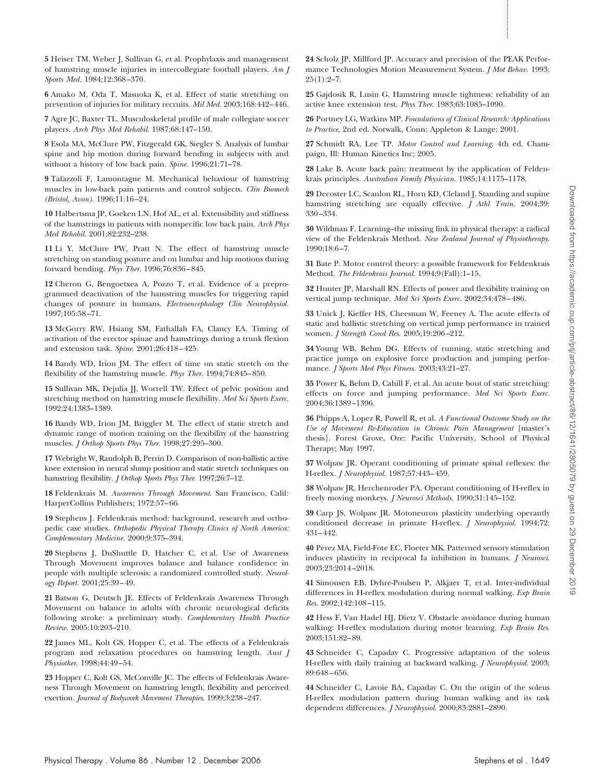**5** Heiser TM, Weber J, Sullivan G, et al. Prophylaxis and management of hamstring muscle injuries in intercollegiate football players. *Am J Sports Med.* 1984;12:368 –370.

**6** Amako M, Oda T, Masuoka K, et al. Effect of static stretching on prevention of injuries for military recruits. *Mil Med.* 2003;168:442– 446.

**7** Agre JC, Baxter TL. Musculoskeletal profile of male collegiate soccer players. *Arch Phys Med Rehabil*. 1987;68:147–150.

**8** Esola MA, McClure PW, Fitzgerald GK, Siegler S. Analysis of lumbar spine and hip motion during forward bending in subjects with and without a history of low back pain. *Spine*. 1996;21:71–78.

**9** Tafazzoli F, Lamontagne M. Mechanical behaviour of hamstring muscles in low-back pain patients and control subjects. *Clin Biomech (Bristol, Avon).* 1996;11:16 –24.

**10** Halbertsma JP, Goeken LN, Hof AL, et al. Extensibility and stiffness of the hamstrings in patients with nonspecific low back pain. *Arch Phys Med Rehabil*. 2001;82:232–238.

**11** Li Y, McClure PW, Pratt N. The effect of hamstring muscle stretching on standing posture and on lumbar and hip motions during forward bending. *Phys Ther*. 1996;76:836 – 845.

**12** Cheron G, Bengoetxea A, Pozzo T, et al. Evidence of a preprogrammed deactivation of the hamstring muscles for triggering rapid changes of posture in humans. *Electroencephalogr Clin Neurophysiol.* 1997;105:58 –71.

**13** McGorry RW, Hsiang SM, Fathallah FA, Clancy EA. Timing of activation of the erector spinae and hamstrings during a trunk flexion and extension task. *Spine*. 2001;26:418 – 425.

**14** Bandy WD, Irion JM. The effect of time on static stretch on the flexibility of the hamstring muscle. *Phys Ther*. 1994;74:845– 850.

**15** Sullivan MK, Dejulia JJ, Worrell TW. Effect of pelvic position and stretching method on hamstring muscle flexibility. *Med Sci Sports Exerc*. 1992;24:1383–1389.

**16** Bandy WD, Irion JM, Briggler M. The effect of static stretch and dynamic range of motion training on the flexibility of the hamstring muscles. *J Orthop Sports Phys Ther*. 1998;27:295–300.

**17** Webright W, Randolph B, Perrin D. Comparison of non-ballistic active knee extension in neural slump position and static stretch techniques on hamstring flexibility. *J Orthop Sports Phys Ther*. 1997;26:7–12.

**18** Feldenkrais M. *Awareness Through Movement*. San Francisco, Calif: HarperCollins Publishers; 1972:57-66.

**19** Stephens J. Feldenkrais method: background, research and orthopedic case studies. *Orthopedic Physical Therapy Clinics of North America: Complementary Medicine.* 2000;9:375–394.

**20** Stephens J, DuShuttle D, Hatcher C, et al. Use of Awareness Through Movement improves balance and balance confidence in people with multiple sclerosis: a randomized controlled study. *Neurology Report*. 2001;25:39 – 49. Nine of the two-p spins of extreme physical Therapy and the two-p of the two-p of the two-p or the two-p or the two-p or the two-p or the two-p or the two-p or the two-p or the two-p or the two-p or the two-p or the two-p

**21** Batson G, Deutsch JE. Effects of Feldenkrais Awareness Through Movement on balance in adults with chronic neurological deficits following stroke: a preliminary study. *Complementary Health Practice Review*. 2005:10:203–210.

**22** James ML, Kolt GS, Hopper C, et al. The effects of a Feldenkrais program and relaxation procedures on hamstring length. *Aust J Physiother*. 1998;44:49 –54.

**23** Hopper C, Kolt GS, McConville JC. The effects of Feldenkrais Awareness Through Movement on hamstring length, flexibility and perceived exertion. *Journal of Bodywork Movement Therapies*. 1999;3:238 –247.

**24** Scholz JP, Millford JP. Accuracy and precision of the PEAK Performance Technologies Motion Measurement System. *J Mot Behav.* 1993;  $25(1):2-7.$ 

**25** Gajdosik R, Lusin G. Hamstring muscle tightness: reliability of an active knee extension test. *Phys Ther*. 1983;63:1085–1090.

**26** Portney LG, Watkins MP. *Foundations of Clinical Research: Applications to Practice*, 2nd ed. Norwalk, Conn: Appleton & Lange; 2001.

**27** Schmidt RA, Lee TP. *Motor Control and Learning*. 4th ed. Champaign, Ill: Human Kinetics Inc; 2005.

**28** Lake B. Acute back pain: treatment by the application of Feldenkrais principles. *Australian Family Physician.* 1985;14:1175–1178.

**29** Decoster LC, Scanlon RL, Horn KD, Cleland J. Standing and supine hamstring stretching are equally effective. *J Athl Train.* 2004;39: 330 –334.

**30** Wildman F. Learning–the missing link in physical therapy: a radical view of the Feldenkrais Method. *New Zealand Journal of Physiotherapy*. 1990;18:6 –7.

**31** Bate P. Motor control theory: a possible framework for Feldenkrais Method. *The Feldenkrais Journal*. 1994;9(Fall):1–15.

**32** Hunter JP, Marshall RN. Effects of power and flexibility training on vertical jump technique. *Med Sci Sports Exerc.* 2002;34:478 – 486.

**33** Unick J, Kieffer HS, Cheesman W, Feeney A. The acute effects of static and ballistic stretching on vertical jump performance in trained women. *J Strength Cond Res*. 2005;19:206 –212.

**34** Young WB, Behm DG. Effects of running, static stretching and practice jumps on explosive force production and jumping performance. *J Sports Med Phys Fitness.* 2003;43:21–27.

**35** Power K, Behm D, Cahill F, et al. An acute bout of static stretching: effects on force and jumping performance. *Med Sci Sports Exerc.* 2004;36:1389 –1396.

**36** Phipps A, Lopez R, Powell R, et al. *A Functional Outcome Study on the Use of Movement Re-Education in Chronic Pain Management* [master's thesis]. Forest Grove, Ore: Pacific University, School of Physical Therapy; May 1997.

**37** Wolpaw JR. Operant conditioning of primate spinal reflexes: the H-reflex. *J Neurophysiol*. 1987;57:443– 459.

**38** Wolpaw JR, Herchenroder PA. Operant conditioning of H-reflex in freely moving monkeys. *J Neurosci Methods*. 1990;31:145–152.

**39** Carp JS, Wolpaw JR. Motoneuron plasticity underlying operantly conditioned decrease in primate H-reflex. *J Neurophysiol*. 1994;72: 431– 442.

**40** Perez MA, Field-Fote EC, Floeter MK. Patterned sensory stimulation induces plasticity in reciprocal Ia inhibition in humans. *J Neurosci*. 2003;23:2014 –2018.

**41** Simonsen EB, Dyhre-Poulsen P, Alkjaer T, et al. Inter-individual differences in H-reflex modulation during normal walking. *Exp Brain Res*. 2002;142:108 –115.

**42** Hess F, Van Hadel HJ, Dietz V. Obstacle avoidance during human walking: H-reflex modulation during motor learning. *Exp Brain Res*. 2003;151:82– 89.

**43** Schneider C, Capaday C. Progressive adaptation of the soleus H-reflex with daily training at backward walking. *J Neurophysiol*. 2003; 89:648 – 656.

**44** Schneider C, Lavoie BA, Capaday C. On the origin of the soleus H-reflex modulation pattern during human walking and its task dependent differences. *J Neurophysiol*. 2000;83:2881–2890.